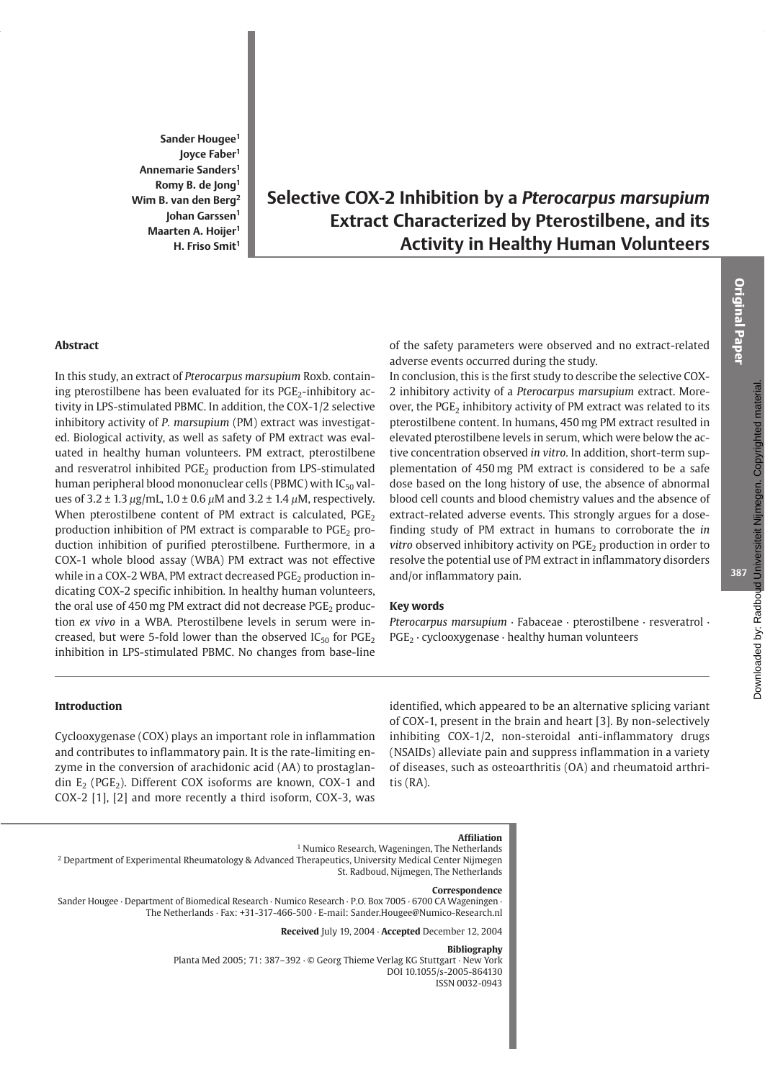Sander Hougee<sup>1</sup> loyce Faber<sup>1</sup> Annemarie Sanders<sup>1</sup> Romy B. de Jong<sup>1</sup> Wim B. van den Berg<sup>2</sup> Johan Garssen<sup>1</sup> Maarten A. Hoijer<sup>1</sup> H. Friso Smit<sup>1</sup>

# Selective COX-2 Inhibition by a Pterocarpus marsupium **Extract Characterized by Pterostilbene, and its Activity in Healthy Human Volunteers**

## **Abstract**

In this study, an extract of Pterocarpus marsupium Roxb. containing pterostilbene has been evaluated for its PGE<sub>2</sub>-inhibitory activity in LPS-stimulated PBMC. In addition, the COX-1/2 selective inhibitory activity of P. marsupium (PM) extract was investigated. Biological activity, as well as safety of PM extract was evaluated in healthy human volunteers. PM extract, pterostilbene and resveratrol inhibited PGE<sub>2</sub> production from LPS-stimulated human peripheral blood mononuclear cells (PBMC) with IC<sub>50</sub> values of  $3.2 \pm 1.3 \,\mu$ g/mL,  $1.0 \pm 0.6 \,\mu$ M and  $3.2 \pm 1.4 \,\mu$ M, respectively. When pterostilbene content of PM extract is calculated, PGE<sub>2</sub> production inhibition of PM extract is comparable to PGE<sub>2</sub> production inhibition of purified pterostilbene. Furthermore, in a COX-1 whole blood assay (WBA) PM extract was not effective while in a COX-2 WBA, PM extract decreased PGE<sub>2</sub> production indicating COX-2 specific inhibition. In healthy human volunteers, the oral use of 450 mg PM extract did not decrease  $PGE_2$  production ex vivo in a WBA. Pterostilbene levels in serum were increased, but were 5-fold lower than the observed  $IC_{50}$  for  $PGE_2$ inhibition in LPS-stimulated PBMC. No changes from base-line

of the safety parameters were observed and no extract-related adverse events occurred during the study.

In conclusion, this is the first study to describe the selective COX-2 inhibitory activity of a Pterocarpus marsupium extract. Moreover, the PGE<sub>2</sub> inhibitory activity of PM extract was related to its pterostilbene content. In humans, 450 mg PM extract resulted in elevated pterostilbene levels in serum, which were below the active concentration observed in vitro. In addition, short-term supplementation of 450 mg PM extract is considered to be a safe dose based on the long history of use, the absence of abnormal blood cell counts and blood chemistry values and the absence of extract-related adverse events. This strongly argues for a dosefinding study of PM extract in humans to corroborate the in vitro observed inhibitory activity on PGE<sub>2</sub> production in order to resolve the potential use of PM extract in inflammatory disorders and/or inflammatory pain.

#### **Key words**

Pterocarpus marsupium · Fabaceae · pterostilbene · resveratrol ·  $PGE_2 \cdot$  cyclooxygenase  $\cdot$  healthy human volunteers

#### Introduction

Cyclooxygenase (COX) plays an important role in inflammation and contributes to inflammatory pain. It is the rate-limiting enzyme in the conversion of arachidonic acid (AA) to prostaglandin  $E_2$  (PGE<sub>2</sub>). Different COX isoforms are known, COX-1 and COX-2 [1], [2] and more recently a third isoform, COX-3, was

identified, which appeared to be an alternative splicing variant of COX-1, present in the brain and heart [3]. By non-selectively inhibiting COX-1/2, non-steroidal anti-inflammatory drugs (NSAIDs) alleviate pain and suppress inflammation in a variety of diseases, such as osteoarthritis (OA) and rheumatoid arthri $tis$  (RA).

# **Affiliation**

<sup>1</sup> Numico Research, Wageningen, The Netherlands

<sup>2</sup> Department of Experimental Rheumatology & Advanced Therapeutics, University Medical Center Nijmegen St. Radboud, Nijmegen, The Netherlands

#### Correspondence

Sander Hougee · Department of Biomedical Research · Numico Research · P.O. Box 7005 · 6700 CA Wageningen · The Netherlands · Fax: +31-317-466-500 · E-mail: Sander.Hougee@Numico-Research.nl

Received July 19, 2004 · Accepted December 12, 2004

#### Bibliography

Planta Med 2005; 71: 387-392 · © Georg Thieme Verlag KG Stuttgart · New York DOI 10.1055/s-2005-864130 ISSN 0032-0943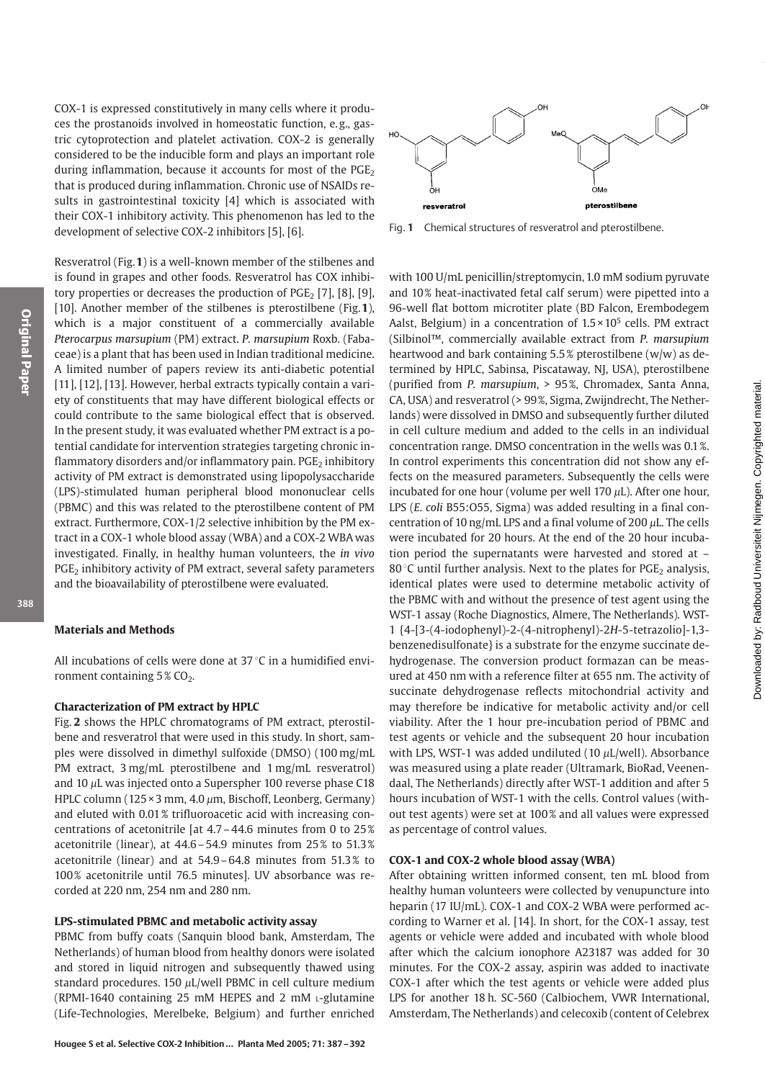COX-1 is expressed constitutively in many cells where it produces the prostanoids involved in homeostatic function, e.g., gastric cytoprotection and platelet activation. COX-2 is generally considered to be the inducible form and plays an important role during inflammation, because it accounts for most of the  $PGE$ that is produced during inflammation. Chronic use of NSAIDs results in gastrointestinal toxicity [4] which is associated with their COX-1 inhibitory activity. This phenomenon has led to the development of selective COX-2 inhibitors [5], [6].

Resveratrol (Fig. 1) is a well-known member of the stilbenes and is found in grapes and other foods. Resveratrol has COX inhibitory properties or decreases the production of  $PGE_2$  [7], [8], [9], [10]. Another member of the stilbenes is pterostilbene (Fig. 1), which is a major constituent of a commercially available Pterocarpus marsupium (PM) extract. P. marsupium Roxb. (Fabaceae) is a plant that has been used in Indian traditional medicine. A limited number of papers review its anti-diabetic potential [11], [12], [13]. However, herbal extracts typically contain a variety of constituents that may have different biological effects or could contribute to the same biological effect that is observed. In the present study, it was evaluated whether PM extract is a potential candidate for intervention strategies targeting chronic inflammatory disorders and/or inflammatory pain. PGE<sub>2</sub> inhibitory activity of PM extract is demonstrated using lipopolysaccharide (LPS)-stimulated human peripheral blood mononuclear cells (PBMC) and this was related to the pterostilbene content of PM extract. Furthermore, COX-1/2 selective inhibition by the PM extract in a COX-1 whole blood assay (WBA) and a COX-2 WBA was investigated. Finally, in healthy human volunteers, the in vivo PGE<sub>2</sub> inhibitory activity of PM extract, several safety parameters and the bioavailability of pterostilbene were evaluated.

#### 388

# **Materials and Methods**

All incubations of cells were done at  $37^{\circ}$ C in a humidified environment containing  $5\%$  CO<sub>2</sub>.

## **Characterization of PM extract by HPLC**

Fig. 2 shows the HPLC chromatograms of PM extract, pterostilbene and resveratrol that were used in this study. In short, samples were dissolved in dimethyl sulfoxide (DMSO) (100 mg/mL PM extract, 3 mg/mL pterostilbene and 1 mg/mL resveratrol) and 10  $\mu$ L was injected onto a Superspher 100 reverse phase C18 HPLC column (125×3 mm, 4.0 µm, Bischoff, Leonberg, Germany) and eluted with 0.01% trifluoroacetic acid with increasing concentrations of acetonitrile [at  $4.7 - 44.6$  minutes from 0 to  $25\%$ acetonitrile (linear), at 44.6-54.9 minutes from 25% to 51.3% acetonitrile (linear) and at 54.9-64.8 minutes from 51.3% to 100% acetonitrile until 76.5 minutes]. UV absorbance was recorded at 220 nm, 254 nm and 280 nm.

# LPS-stimulated PBMC and metabolic activity assay

PBMC from buffy coats (Sanguin blood bank, Amsterdam, The Netherlands) of human blood from healthy donors were isolated and stored in liquid nitrogen and subsequently thawed using standard procedures. 150  $\mu$ L/well PBMC in cell culture medium (RPMI-1640 containing 25 mM HEPES and 2 mM L-glutamine (Life-Technologies, Merelbeke, Belgium) and further enriched



Fig. 1 Chemical structures of resveratrol and pterostilbene.

with 100 U/mL penicillin/streptomycin, 1.0 mM sodium pyruvate and 10% heat-inactivated fetal calf serum) were pipetted into a 96-well flat bottom microtiter plate (BD Falcon, Erembodegem Aalst, Belgium) in a concentration of  $1.5 \times 10^5$  cells. PM extract (Silbinol™, commercially available extract from P. marsupium heartwood and bark containing 5.5% pterostilbene (w/w) as determined by HPLC, Sabinsa, Piscataway, NJ, USA), pterostilbene (purified from P. marsupium, > 95%, Chromadex, Santa Anna, CA, USA) and resveratrol (> 99%, Sigma, Zwijndrecht, The Netherlands) were dissolved in DMSO and subsequently further diluted in cell culture medium and added to the cells in an individual concentration range. DMSO concentration in the wells was 0.1%. In control experiments this concentration did not show any effects on the measured parameters. Subsequently the cells were incubated for one hour (volume per well 170  $\mu$ L). After one hour, LPS (E. coli B55:055, Sigma) was added resulting in a final concentration of 10 ng/mL LPS and a final volume of 200  $\mu$ L. The cells were incubated for 20 hours. At the end of the 20 hour incubation period the supernatants were harvested and stored at -80 $\degree$ C until further analysis. Next to the plates for PGE<sub>2</sub> analysis, identical plates were used to determine metabolic activity of the PBMC with and without the presence of test agent using the WST-1 assay (Roche Diagnostics, Almere, The Netherlands). WST-1 {4-[3-(4-iodophenyl)-2-(4-nitrophenyl)-2H-5-tetrazolio]-1,3benzenedisulfonate} is a substrate for the enzyme succinate dehydrogenase. The conversion product formazan can be measured at 450 nm with a reference filter at 655 nm. The activity of succinate dehydrogenase reflects mitochondrial activity and may therefore be indicative for metabolic activity and/or cell viability. After the 1 hour pre-incubation period of PBMC and test agents or vehicle and the subsequent 20 hour incubation with LPS, WST-1 was added undiluted (10  $\mu$ L/well). Absorbance was measured using a plate reader (Ultramark, BioRad, Veenendaal, The Netherlands) directly after WST-1 addition and after 5 hours incubation of WST-1 with the cells. Control values (without test agents) were set at 100% and all values were expressed as percentage of control values.

#### COX-1 and COX-2 whole blood assay (WBA)

After obtaining written informed consent, ten mL blood from healthy human volunteers were collected by venupuncture into heparin (17 IU/mL). COX-1 and COX-2 WBA were performed according to Warner et al. [14]. In short, for the COX-1 assay, test agents or vehicle were added and incubated with whole blood after which the calcium ionophore A23187 was added for 30 minutes. For the COX-2 assay, aspirin was added to inactivate COX-1 after which the test agents or vehicle were added plus LPS for another 18 h. SC-560 (Calbiochem, VWR International, Amsterdam, The Netherlands) and celecoxib (content of Celebrex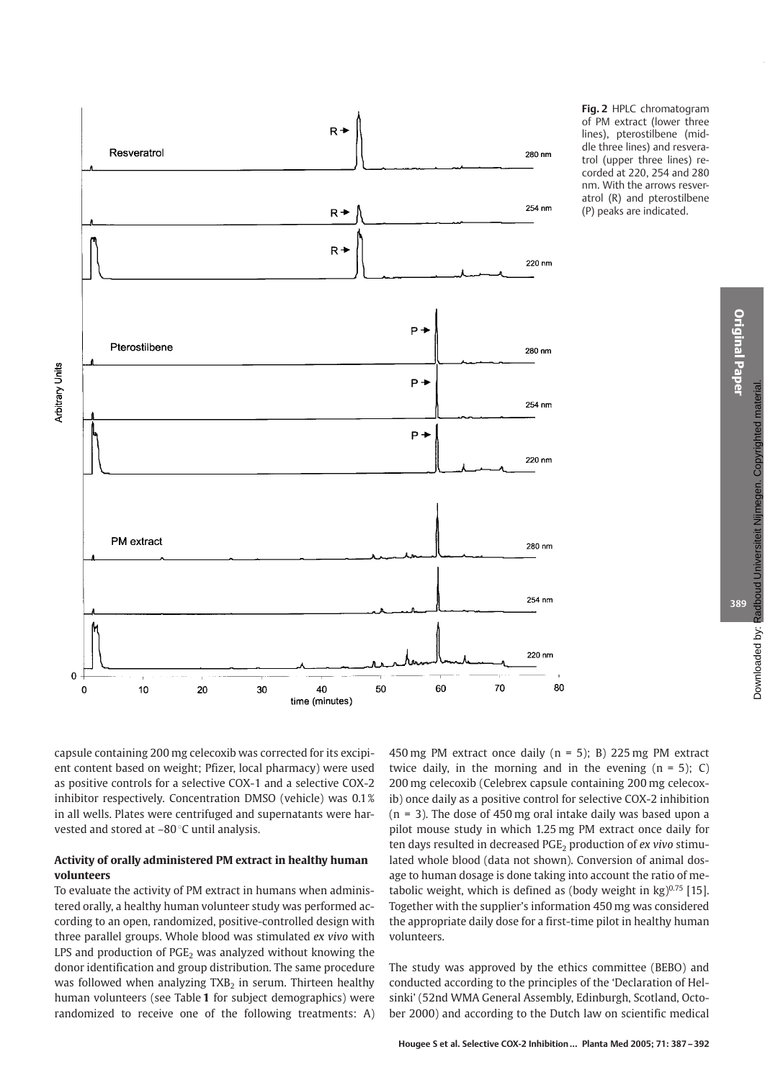

Fig. 2 HPLC chromatogram of PM extract (lower three lines), pterostilbene (middle three lines) and resveratrol (upper three lines) recorded at 220, 254 and 280 nm. With the arrows resveratrol (R) and pterostilbene (P) peaks are indicated.

capsule containing 200 mg celecoxib was corrected for its excipient content based on weight; Pfizer, local pharmacy) were used as positive controls for a selective COX-1 and a selective COX-2 inhibitor respectively. Concentration DMSO (vehicle) was 0.1% in all wells. Plates were centrifuged and supernatants were harvested and stored at -80 °C until analysis.

# Activity of orally administered PM extract in healthy human volunteers

To evaluate the activity of PM extract in humans when administered orally, a healthy human volunteer study was performed according to an open, randomized, positive-controlled design with three parallel groups. Whole blood was stimulated ex vivo with LPS and production of  $PGE_2$  was analyzed without knowing the donor identification and group distribution. The same procedure was followed when analyzing TXB<sub>2</sub> in serum. Thirteen healthy human volunteers (see Table 1 for subject demographics) were randomized to receive one of the following treatments: A) 450 mg PM extract once daily ( $n = 5$ ); B) 225 mg PM extract twice daily, in the morning and in the evening  $(n = 5)$ ; C) 200 mg celecoxib (Celebrex capsule containing 200 mg celecoxib) once daily as a positive control for selective COX-2 inhibition  $(n = 3)$ . The dose of 450 mg oral intake daily was based upon a pilot mouse study in which 1.25 mg PM extract once daily for ten days resulted in decreased  $PGE_2$  production of ex vivo stimulated whole blood (data not shown). Conversion of animal dosage to human dosage is done taking into account the ratio of metabolic weight, which is defined as (body weight in  $kg$ )<sup>0.75</sup> [15]. Together with the supplier's information 450 mg was considered the appropriate daily dose for a first-time pilot in healthy human volunteers.

The study was approved by the ethics committee (BEBO) and conducted according to the principles of the 'Declaration of Helsinki' (52nd WMA General Assembly, Edinburgh, Scotland, October 2000) and according to the Dutch law on scientific medical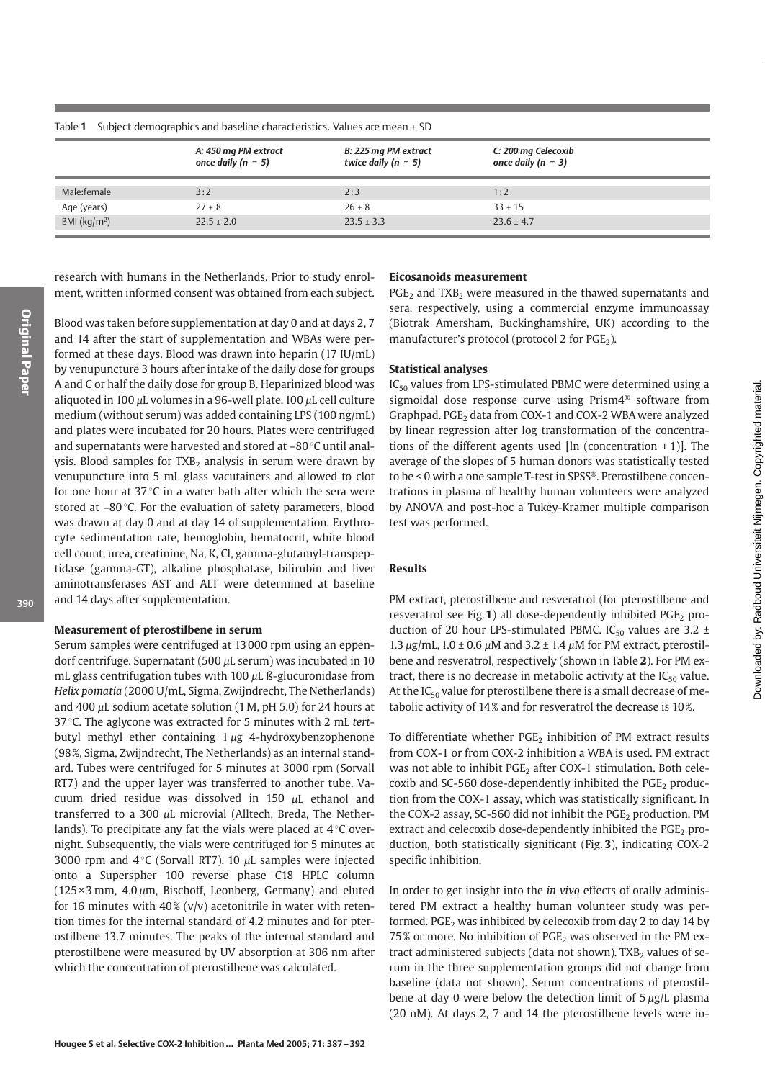|                         | A: 450 mg PM extract<br>once daily ( $n = 5$ ) | B: 225 mg PM extract<br>twice daily ( $n = 5$ ) | C: 200 mg Celecoxib<br>once daily ( $n = 3$ ) |
|-------------------------|------------------------------------------------|-------------------------------------------------|-----------------------------------------------|
| Male:female             | 3:2                                            | 2:3                                             | 1:2                                           |
| Age (years)             | $27 \pm 8$                                     | $26 \pm 8$                                      | $33 \pm 15$                                   |
| BMI ( $\text{kg/m}^2$ ) | $22.5 \pm 2.0$                                 | $23.5 + 3.3$                                    | $23.6 + 4.7$                                  |

Subject demographics and baseline characteristics. Values are mean ± SD Table 1

research with humans in the Netherlands. Prior to study enrolment, written informed consent was obtained from each subject.

Blood was taken before supplementation at day 0 and at days 2, 7 and 14 after the start of supplementation and WBAs were performed at these days. Blood was drawn into heparin (17 IU/mL) by venupuncture 3 hours after intake of the daily dose for groups A and C or half the daily dose for group B. Heparinized blood was aliquoted in 100  $\mu$ L volumes in a 96-well plate. 100  $\mu$ L cell culture medium (without serum) was added containing LPS (100 ng/mL) and plates were incubated for 20 hours. Plates were centrifuged and supernatants were harvested and stored at -80 °C until analysis. Blood samples for TXB<sub>2</sub> analysis in serum were drawn by venupuncture into 5 mL glass vacutainers and allowed to clot for one hour at  $37^{\circ}$ C in a water bath after which the sera were stored at  $-80^{\circ}$ C. For the evaluation of safety parameters, blood was drawn at day 0 and at day 14 of supplementation. Erythrocyte sedimentation rate, hemoglobin, hematocrit, white blood cell count, urea, creatinine, Na, K, Cl, gamma-glutamyl-transpeptidase (gamma-GT), alkaline phosphatase, bilirubin and liver aminotransferases AST and ALT were determined at baseline and 14 days after supplementation.

#### Measurement of pterostilbene in serum

Serum samples were centrifuged at 13000 rpm using an eppendorf centrifuge. Supernatant (500  $\mu$ L serum) was incubated in 10 mL glass centrifugation tubes with 100  $\mu$ L ß-glucuronidase from Helix pomatia (2000 U/mL, Sigma, Zwijndrecht, The Netherlands) and 400  $\mu$ L sodium acetate solution (1 M, pH 5.0) for 24 hours at 37 °C. The aglycone was extracted for 5 minutes with 2 mL tertbutyl methyl ether containing  $1 \mu$ g 4-hydroxybenzophenone (98%, Sigma, Zwijndrecht, The Netherlands) as an internal standard. Tubes were centrifuged for 5 minutes at 3000 rpm (Sorvall RT7) and the upper layer was transferred to another tube. Vacuum dried residue was dissolved in 150 µL ethanol and transferred to a 300  $\mu$ L microvial (Alltech, Breda, The Netherlands). To precipitate any fat the vials were placed at  $4^{\circ}$ C overnight. Subsequently, the vials were centrifuged for 5 minutes at 3000 rpm and  $4^{\circ}$ C (Sorvall RT7). 10  $\mu$ L samples were injected onto a Superspher 100 reverse phase C18 HPLC column  $(125 \times 3 \text{ mm}, 4.0 \mu \text{m}, \text{Bischoff}, \text{Leonberg}, \text{Germany})$  and eluted for 16 minutes with  $40\%$  (v/v) acetonitrile in water with retention times for the internal standard of 4.2 minutes and for pterostilbene 13.7 minutes. The peaks of the internal standard and pterostilbene were measured by UV absorption at 306 nm after which the concentration of pterostilbene was calculated.

# **Eicosanoids measurement**

 $PGE<sub>2</sub>$  and TXB<sub>2</sub> were measured in the thawed supernatants and sera, respectively, using a commercial enzyme immunoassay (Biotrak Amersham, Buckinghamshire, UK) according to the manufacturer's protocol (protocol 2 for PGE<sub>2</sub>).

#### **Statistical analyses**

 $IC_{50}$  values from LPS-stimulated PBMC were determined using a sigmoidal dose response curve using Prism4<sup>®</sup> software from Graphpad. PGE<sub>2</sub> data from COX-1 and COX-2 WBA were analyzed by linear regression after log transformation of the concentrations of the different agents used  $[\ln (\text{concentration} + 1)]$ . The average of the slopes of 5 human donors was statistically tested to be < 0 with a one sample T-test in SPSS®. Pterostilbene concentrations in plasma of healthy human volunteers were analyzed by ANOVA and post-hoc a Tukey-Kramer multiple comparison test was performed.

Downloaded by: Radboud Universiteit Nijmegen. Copyrighted material.

## **Results**

PM extract, pterostilbene and resveratrol (for pterostilbene and resveratrol see Fig.1) all dose-dependently inhibited  $PGE<sub>2</sub>$  production of 20 hour LPS-stimulated PBMC. IC<sub>50</sub> values are 3.2  $\pm$ 1.3  $\mu$ g/mL, 1.0 ± 0.6  $\mu$ M and 3.2 ± 1.4  $\mu$ M for PM extract, pterostilbene and resveratrol, respectively (shown in Table 2). For PM extract, there is no decrease in metabolic activity at the  $IC_{50}$  value. At the  $IC_{50}$  value for pterostilbene there is a small decrease of metabolic activity of 14% and for resveratrol the decrease is 10%.

To differentiate whether PGE<sub>2</sub> inhibition of PM extract results from COX-1 or from COX-2 inhibition a WBA is used. PM extract was not able to inhibit PGE<sub>2</sub> after COX-1 stimulation. Both celecoxib and SC-560 dose-dependently inhibited the  $PGE<sub>2</sub>$  production from the COX-1 assay, which was statistically significant. In the COX-2 assay, SC-560 did not inhibit the PGE<sub>2</sub> production. PM extract and celecoxib dose-dependently inhibited the  $PGE<sub>2</sub>$  production, both statistically significant (Fig. 3), indicating COX-2 specific inhibition.

In order to get insight into the in vivo effects of orally administered PM extract a healthy human volunteer study was performed. PGE<sub>2</sub> was inhibited by celecoxib from day 2 to day 14 by 75% or more. No inhibition of PGE<sub>2</sub> was observed in the PM extract administered subjects (data not shown). TXB<sub>2</sub> values of serum in the three supplementation groups did not change from baseline (data not shown). Serum concentrations of pterostilbene at day 0 were below the detection limit of  $5 \mu g/L$  plasma (20 nM). At days 2, 7 and 14 the pterostilbene levels were in-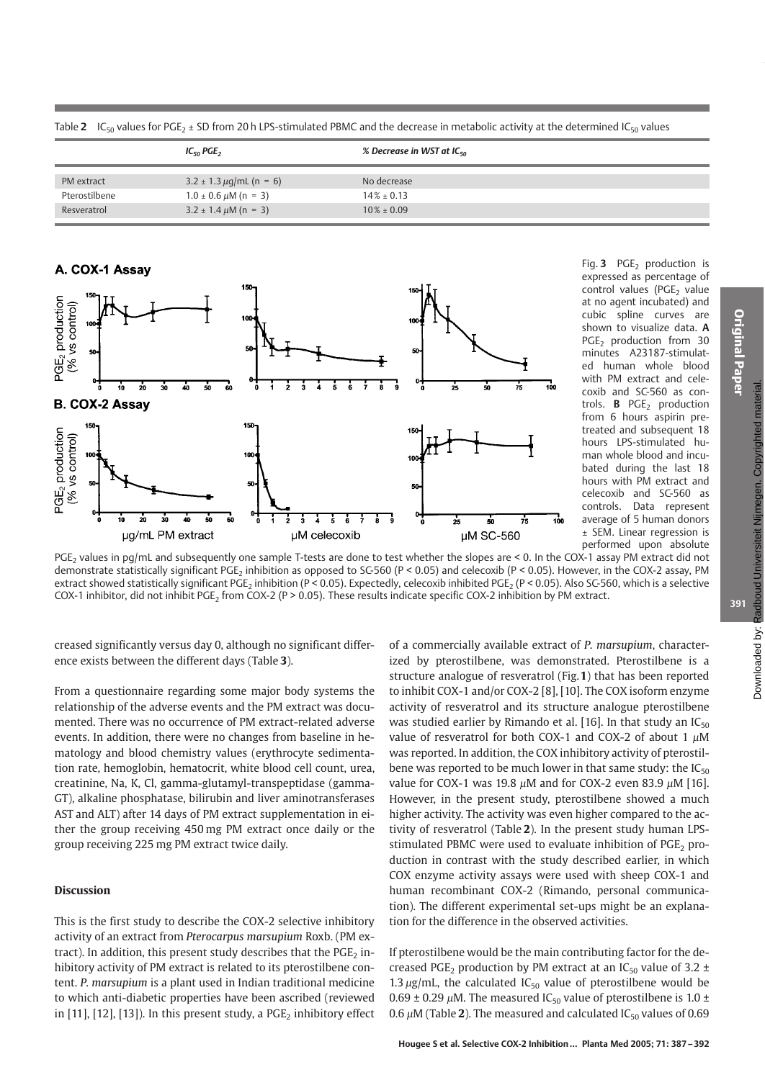|               | $IC_{50}$ PGE <sub>2</sub>          | % Decrease in WST at IC $_{50}$ |
|---------------|-------------------------------------|---------------------------------|
| PM extract    | $3.2 \pm 1.3 \,\mu$ g/mL (n = 6)    | No decrease                     |
| Pterostilbene | $1.0 \pm 0.6 \ \mu M \ (n = 3)$     | $14\% + 0.13$                   |
| Resveratrol   | $3.2 \pm 1.4 \,\mu\text{M}$ (n = 3) | $10\% \pm 0.09$                 |



Fig. 3 PGE<sub>2</sub> production is expressed as percentage of control values (PGE<sub>2</sub> value at no agent incubated) and cubic spline curves are shown to visualize data. A PGE<sub>2</sub> production from 30 minutes A23187-stimulated human whole blood with PM extract and celecoxib and SC-560 as controls. **B** PGE<sub>2</sub> production from 6 hours aspirin pretreated and subsequent 18 hours LPS-stimulated human whole blood and incubated during the last 18 hours with PM extract and celecoxib and SC-560 as controls. Data represent average of 5 human donors ± SEM. Linear regression is performed upon absolute

PGE<sub>2</sub> values in pq/mL and subsequently one sample T-tests are done to test whether the slopes are < 0. In the COX-1 assay PM extract did not demonstrate statistically significant PGE<sub>2</sub> inhibition as opposed to SC-560 (P < 0.05) and celecoxib (P < 0.05). However, in the COX-2 assay, PM extract showed statistically significant PGE<sub>2</sub> inhibition (P < 0.05). Expectedly, celecoxib inhibited PGE<sub>2</sub> (P < 0.05). Also SC-560, which is a selective COX-1 inhibitor, did not inhibit PGE<sub>2</sub> from COX-2 (P > 0.05). These results indicate specific COX-2 inhibition by PM extract.

creased significantly versus day 0, although no significant difference exists between the different days (Table 3).

From a questionnaire regarding some major body systems the relationship of the adverse events and the PM extract was documented. There was no occurrence of PM extract-related adverse events. In addition, there were no changes from baseline in hematology and blood chemistry values (erythrocyte sedimentation rate, hemoglobin, hematocrit, white blood cell count, urea, creatinine, Na, K, Cl, gamma-glutamyl-transpeptidase (gamma-GT), alkaline phosphatase, bilirubin and liver aminotransferases AST and ALT) after 14 days of PM extract supplementation in either the group receiving 450 mg PM extract once daily or the group receiving 225 mg PM extract twice daily.

# **Discussion**

This is the first study to describe the COX-2 selective inhibitory activity of an extract from Pterocarpus marsupium Roxb. (PM extract). In addition, this present study describes that the  $PGE$ <sub>2</sub> inhibitory activity of PM extract is related to its pterostilbene content. P. marsupium is a plant used in Indian traditional medicine to which anti-diabetic properties have been ascribed (reviewed in [11], [12], [13]). In this present study, a  $PGE_2$  inhibitory effect

of a commercially available extract of P. marsupium, characterized by pterostilbene, was demonstrated. Pterostilbene is a structure analogue of resveratrol (Fig.1) that has been reported to inhibit COX-1 and/or COX-2 [8], [10]. The COX isoform enzyme activity of resveratrol and its structure analogue pterostilbene was studied earlier by Rimando et al. [16]. In that study an  $IC_{50}$ value of resveratrol for both COX-1 and COX-2 of about 1  $\mu$ M was reported. In addition, the COX inhibitory activity of pterostilbene was reported to be much lower in that same study: the  $IC_{50}$ value for COX-1 was 19.8  $\mu$ M and for COX-2 even 83.9  $\mu$ M [16]. However, in the present study, pterostilbene showed a much higher activity. The activity was even higher compared to the activity of resveratrol (Table 2). In the present study human LPSstimulated PBMC were used to evaluate inhibition of  $PGE_2$  production in contrast with the study described earlier, in which COX enzyme activity assays were used with sheep COX-1 and human recombinant COX-2 (Rimando, personal communication). The different experimental set-ups might be an explanation for the difference in the observed activities.

If pterostilbene would be the main contributing factor for the decreased PGE<sub>2</sub> production by PM extract at an IC<sub>50</sub> value of 3.2  $\pm$ 1.3  $\mu$ g/mL, the calculated IC<sub>50</sub> value of pterostilbene would be 0.69  $\pm$  0.29  $\mu$ M. The measured IC<sub>50</sub> value of pterostilbene is 1.0  $\pm$ 0.6  $\mu$ M (Table 2). The measured and calculated IC<sub>50</sub> values of 0.69